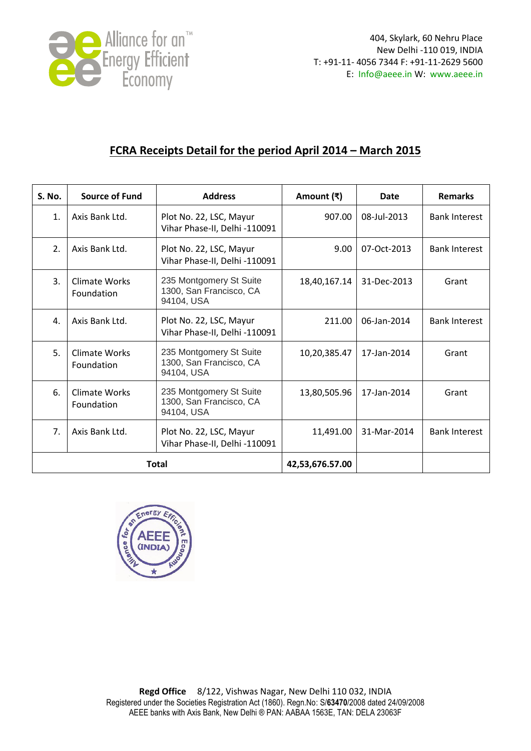

## **FCRA Receipts Detail for the period April 2014 – March 2015**

| S. No.       | <b>Source of Fund</b>              | <b>Address</b>                                                   | Amount (₹)      | Date        | <b>Remarks</b>       |
|--------------|------------------------------------|------------------------------------------------------------------|-----------------|-------------|----------------------|
| 1.           | Axis Bank Ltd.                     | Plot No. 22, LSC, Mayur<br>Vihar Phase-II, Delhi -110091         | 907.00          | 08-Jul-2013 | <b>Bank Interest</b> |
| 2.           | Axis Bank Ltd.                     | Plot No. 22, LSC, Mayur<br>Vihar Phase-II, Delhi -110091         | 9.00            | 07-Oct-2013 | <b>Bank Interest</b> |
| 3.           | <b>Climate Works</b><br>Foundation | 235 Montgomery St Suite<br>1300, San Francisco, CA<br>94104, USA | 18,40,167.14    | 31-Dec-2013 | Grant                |
| 4.           | Axis Bank Ltd.                     | Plot No. 22, LSC, Mayur<br>Vihar Phase-II, Delhi -110091         | 211.00          | 06-Jan-2014 | <b>Bank Interest</b> |
| 5.           | <b>Climate Works</b><br>Foundation | 235 Montgomery St Suite<br>1300, San Francisco, CA<br>94104, USA | 10,20,385.47    | 17-Jan-2014 | Grant                |
| 6.           | <b>Climate Works</b><br>Foundation | 235 Montgomery St Suite<br>1300, San Francisco, CA<br>94104, USA | 13,80,505.96    | 17-Jan-2014 | Grant                |
| 7.           | Axis Bank Ltd.                     | Plot No. 22, LSC, Mayur<br>Vihar Phase-II, Delhi -110091         | 11,491.00       | 31-Mar-2014 | <b>Bank Interest</b> |
| <b>Total</b> |                                    |                                                                  | 42,53,676.57.00 |             |                      |